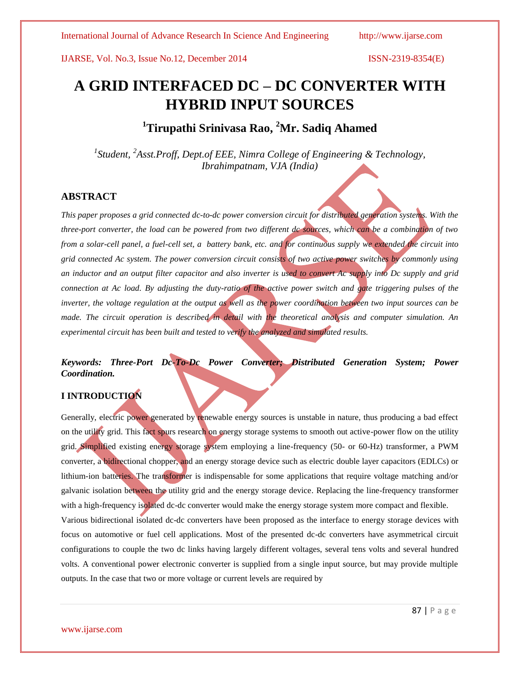# **A GRID INTERFACED DC – DC CONVERTER WITH HYBRID INPUT SOURCES**

**<sup>1</sup>Tirupathi Srinivasa Rao, <sup>2</sup>Mr. Sadiq Ahamed**

*1 Student, <sup>2</sup> Asst.Proff, Dept.of EEE, Nimra College of Engineering & Technology, Ibrahimpatnam, VJA (India)*

### **ABSTRACT**

*This paper proposes a grid connected dc-to-dc power conversion circuit for distributed generation systems. With the three-port converter, the load can be powered from two different dc sources, which can be a combination of two from a solar-cell panel, a fuel-cell set, a battery bank, etc. and for continuous supply we extended the circuit into grid connected Ac system. The power conversion circuit consists of two active power switches by commonly using an inductor and an output filter capacitor and also inverter is used to convert Ac supply into Dc supply and grid connection at Ac load. By adjusting the duty-ratio of the active power switch and gate triggering pulses of the inverter, the voltage regulation at the output as well as the power coordination between two input sources can be made. The circuit operation is described in detail with the theoretical analysis and computer simulation. An experimental circuit has been built and tested to verify the analyzed and simulated results.* 

# *Keywords: Three-Port Dc-To-Dc Power Converter; Distributed Generation System; Power Coordination.*

## **I INTRODUCTION**

Generally, electric power generated by renewable energy sources is unstable in nature, thus producing a bad effect on the utility grid. This fact spurs research on energy storage systems to smooth out active-power flow on the utility grid. Simplified existing energy storage system employing a line-frequency (50- or 60-Hz) transformer, a PWM converter, a bidirectional chopper, and an energy storage device such as electric double layer capacitors (EDLCs) or lithium-ion batteries. The transformer is indispensable for some applications that require voltage matching and/or galvanic isolation between the utility grid and the energy storage device. Replacing the line-frequency transformer with a high-frequency isolated dc-dc converter would make the energy storage system more compact and flexible. Various bidirectional isolated dc-dc converters have been proposed as the interface to energy storage devices with focus on automotive or fuel cell applications. Most of the presented dc-dc converters have asymmetrical circuit configurations to couple the two dc links having largely different voltages, several tens volts and several hundred volts. A conventional power electronic converter is supplied from a single input source, but may provide multiple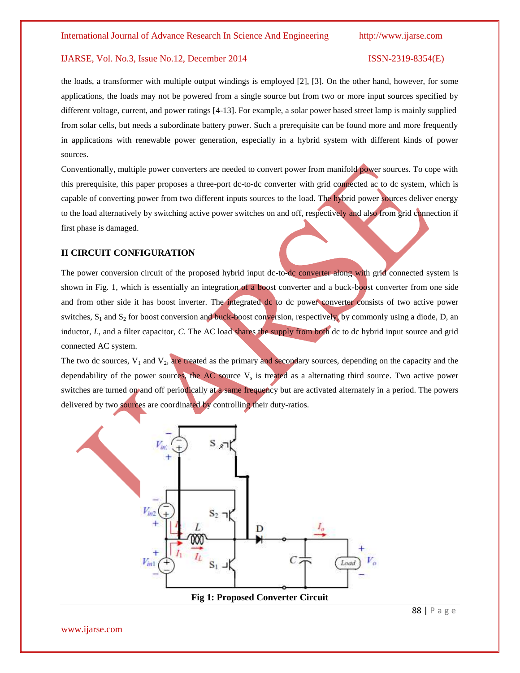the loads, a transformer with multiple output windings is employed [2], [3]. On the other hand, however, for some applications, the loads may not be powered from a single source but from two or more input sources specified by different voltage, current, and power ratings [4-13]. For example, a solar power based street lamp is mainly supplied from solar cells, but needs a subordinate battery power. Such a prerequisite can be found more and more frequently in applications with renewable power generation, especially in a hybrid system with different kinds of power sources.

Conventionally, multiple power converters are needed to convert power from manifold power sources. To cope with this prerequisite, this paper proposes a three-port dc-to-dc converter with grid connected ac to dc system, which is capable of converting power from two different inputs sources to the load. The hybrid power sources deliver energy to the load alternatively by switching active power switches on and off, respectively and also from grid connection if first phase is damaged.

### **II CIRCUIT CONFIGURATION**

The power conversion circuit of the proposed hybrid input dc-to-dc converter along with grid connected system is shown in Fig. 1, which is essentially an integration of a boost converter and a buck-boost converter from one side and from other side it has boost inverter. The integrated dc to dc power converter consists of two active power switches,  $S_1$  and  $S_2$  for boost conversion and buck-boost conversion, respectively, by commonly using a diode, D, an inductor, *L*, and a filter capacitor, *C*. The AC load shares the supply from both dc to dc hybrid input source and grid connected AC system.

The two dc sources,  $V_1$  and  $V_2$ , are treated as the primary and secondary sources, depending on the capacity and the dependability of the power sources, the  $AC$  source  $V_s$  is treated as a alternating third source. Two active power switches are turned on and off periodically at a same frequency but are activated alternately in a period. The powers delivered by two sources are coordinated by controlling their duty-ratios.



88 | P a g e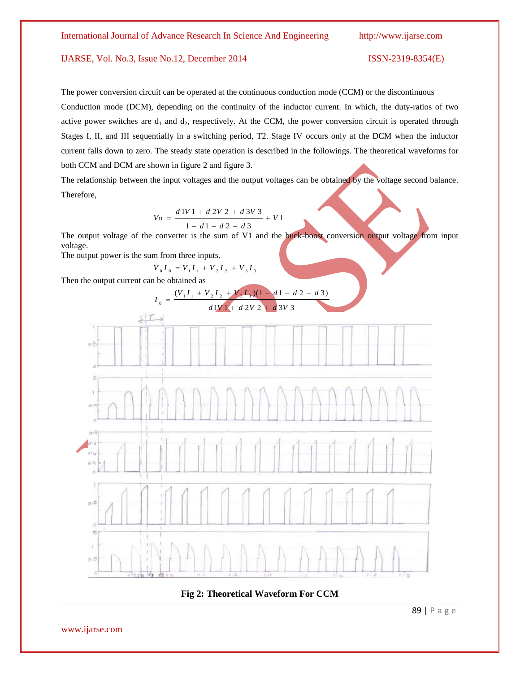The power conversion circuit can be operated at the continuous conduction mode (CCM) or the discontinuous Conduction mode (DCM), depending on the continuity of the inductor current. In which, the duty-ratios of two active power switches are  $d_1$  and  $d_2$ , respectively. At the CCM, the power conversion circuit is operated through Stages I, II, and III sequentially in a switching period, T2. Stage IV occurs only at the DCM when the inductor current falls down to zero. The steady state operation is described in the followings. The theoretical waveforms for both CCM and DCM are shown in figure 2 and figure 3.

The relationship between the input voltages and the output voltages can be obtained by the voltage second balance. Therefore,

$$
V_O = \frac{d1V1 + d2V2 + d3V3}{1 - d1 - d2 - d3} + V1
$$

The output voltage of the converter is the sum of V1 and the buck-boost conversion output voltage from input voltage.

The output power is the sum from three inputs.

$$
V_0 I_0 = V_1 I_1 + V_2 I_2 + V_3 I_3
$$

Then the output current can be obtained as



**Fig 2: Theoretical Waveform For CCM**

89 | P a g e

www.ijarse.com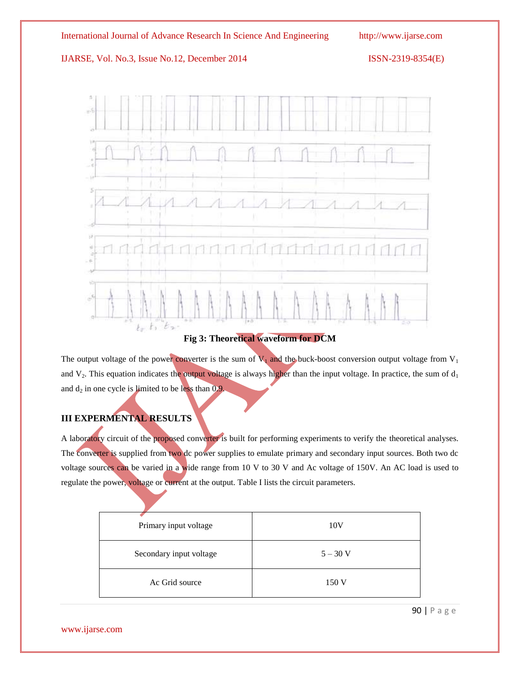

# **Fig 3: Theoretical waveform for DCM**

The output voltage of the power converter is the sum of  $V_1$  and the buck-boost conversion output voltage from  $V_1$ and  $V_2$ . This equation indicates the output voltage is always higher than the input voltage. In practice, the sum of  $d_1$ and  $d_2$  in one cycle is limited to be less than  $0.9$ .

# **III EXPERMENTAL RESULTS**

A laboratory circuit of the proposed converter is built for performing experiments to verify the theoretical analyses. The converter is supplied from two dc power supplies to emulate primary and secondary input sources. Both two dc voltage sources can be varied in a wide range from 10 V to 30 V and Ac voltage of 150V. An AC load is used to regulate the power, voltage or current at the output. Table I lists the circuit parameters.

| Primary input voltage   | 10V        |
|-------------------------|------------|
| Secondary input voltage | $5 - 30$ V |
| Ac Grid source          | 150 V      |

90 | P a g e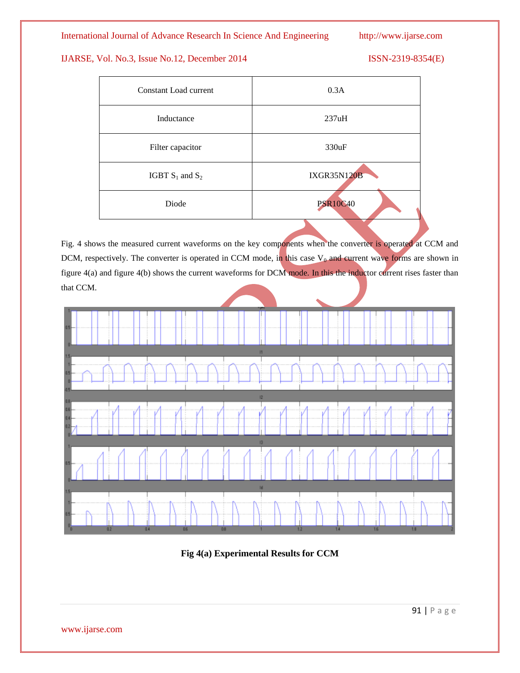International Journal of Advance Research In Science And Engineering http://www.ijarse.com

### IJARSE, Vol. No.3, Issue No.12, December 2014 ISSN-2319-8354(E)

| Constant Load current | 0.3A               |
|-----------------------|--------------------|
| Inductance            | 237uH              |
| Filter capacitor      | 330uF              |
| IGBT $S_1$ and $S_2$  | <b>IXGR35N120B</b> |
| Diode                 | <b>PSR10C40</b>    |

Fig. 4 shows the measured current waveforms on the key components when the converter is operated at CCM and DCM, respectively. The converter is operated in CCM mode, in this case  $V_0$  and current wave forms are shown in figure 4(a) and figure 4(b) shows the current waveforms for DCM mode. In this the inductor current rises faster than that CCM.



**Fig 4(a) Experimental Results for CCM**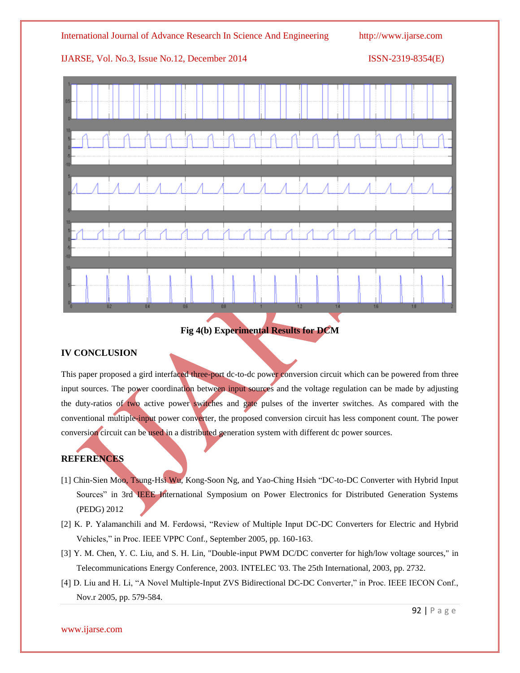

## **Fig 4(b) Experimental Results for DCM**

### **IV CONCLUSION**

This paper proposed a gird interfaced three-port dc-to-dc power conversion circuit which can be powered from three input sources. The power coordination between input sources and the voltage regulation can be made by adjusting the duty-ratios of two active power switches and gate pulses of the inverter switches. As compared with the conventional multiple-input power converter, the proposed conversion circuit has less component count. The power conversion circuit can be used in a distributed generation system with different dc power sources.

### **REFERENCES**

- [1] Chin-Sien Moo, Tsung-Hsi Wu, Kong-Soon Ng, and Yao-Ching Hsieh "DC-to-DC Converter with Hybrid Input Sources" in 3rd IEEE International Symposium on Power Electronics for Distributed Generation Systems (PEDG) 2012
- [2] K. P. Yalamanchili and M. Ferdowsi, "Review of Multiple Input DC-DC Converters for Electric and Hybrid Vehicles," in Proc. IEEE VPPC Conf., September 2005, pp. 160-163.
- [3] Y. M. Chen, Y. C. Liu, and S. H. Lin, "Double-input PWM DC/DC converter for high/low voltage sources," in Telecommunications Energy Conference, 2003. INTELEC '03. The 25th International, 2003, pp. 2732.
- [4] D. Liu and H. Li, "A Novel Multiple-Input ZVS Bidirectional DC-DC Converter," in Proc. IEEE IECON Conf., Nov.r 2005, pp. 579-584.

www.ijarse.com